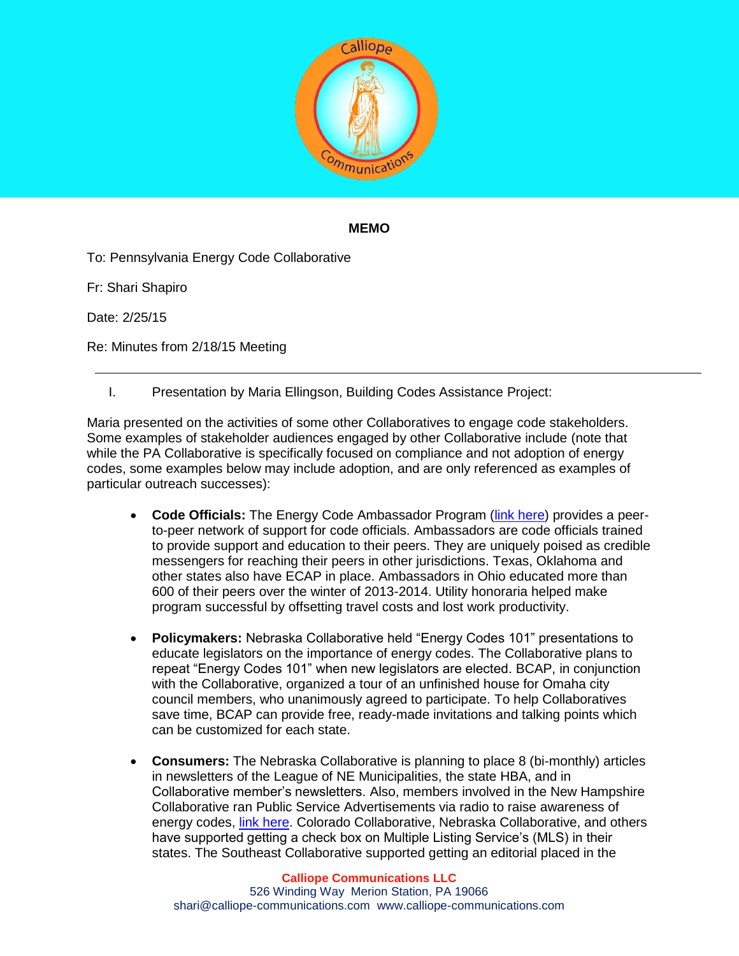

## **MEMO**

To: Pennsylvania Energy Code Collaborative

Fr: Shari Shapiro

Date: 2/25/15

Re: Minutes from 2/18/15 Meeting

I. Presentation by Maria Ellingson, Building Codes Assistance Project:

Maria presented on the activities of some other Collaboratives to engage code stakeholders. Some examples of stakeholder audiences engaged by other Collaborative include (note that while the PA Collaborative is specifically focused on compliance and not adoption of energy codes, some examples below may include adoption, and are only referenced as examples of particular outreach successes):

- **Code Officials:** The Energy Code Ambassador Program [\(link here\)](http://energycodesocean.org/ecap) provides a peerto-peer network of support for code officials. Ambassadors are code officials trained to provide support and education to their peers. They are uniquely poised as credible messengers for reaching their peers in other jurisdictions. Texas, Oklahoma and other states also have ECAP in place. Ambassadors in Ohio educated more than 600 of their peers over the winter of 2013-2014. Utility honoraria helped make program successful by offsetting travel costs and lost work productivity.
- **Policymakers:** Nebraska Collaborative held "Energy Codes 101" presentations to educate legislators on the importance of energy codes. The Collaborative plans to repeat "Energy Codes 101" when new legislators are elected. BCAP, in conjunction with the Collaborative, organized a tour of an unfinished house for Omaha city council members, who unanimously agreed to participate. To help Collaboratives save time, BCAP can provide free, ready-made invitations and talking points which can be customized for each state.
- **Consumers:** The Nebraska Collaborative is planning to place 8 (bi-monthly) articles in newsletters of the League of NE Municipalities, the state HBA, and in Collaborative member's newsletters. Also, members involved in the New Hampshire Collaborative ran Public Service Advertisements via radio to raise awareness of energy codes, *link here*. Colorado Collaborative, Nebraska Collaborative, and others have supported getting a check box on Multiple Listing Service's (MLS) in their states. The Southeast Collaborative supported getting an editorial placed in the